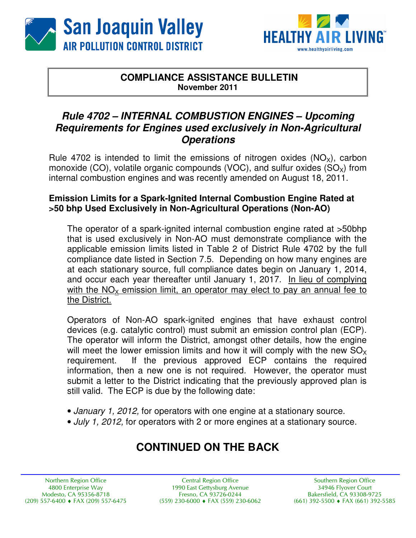



### **COMPLIANCE ASSISTANCE BULLETIN November 2011**

## **Rule 4702 – INTERNAL COMBUSTION ENGINES – Upcoming Requirements for Engines used exclusively in Non-Agricultural Operations**

Rule 4702 is intended to limit the emissions of nitrogen oxides  $(NO_x)$ , carbon monoxide (CO), volatile organic compounds (VOC), and sulfur oxides  $(SO<sub>x</sub>)$  from internal combustion engines and was recently amended on August 18, 2011.

#### **Emission Limits for a Spark-Ignited Internal Combustion Engine Rated at >50 bhp Used Exclusively in Non-Agricultural Operations (Non-AO)**

The operator of a spark-ignited internal combustion engine rated at >50bhp that is used exclusively in Non-AO must demonstrate compliance with the applicable emission limits listed in Table 2 of District Rule 4702 by the full compliance date listed in Section 7.5. Depending on how many engines are at each stationary source, full compliance dates begin on January 1, 2014, and occur each year thereafter until January 1, 2017. In lieu of complying with the  $NO<sub>x</sub>$  emission limit, an operator may elect to pay an annual fee to the District.

Operators of Non-AO spark-ignited engines that have exhaust control devices (e.g. catalytic control) must submit an emission control plan (ECP). The operator will inform the District, amongst other details, how the engine will meet the lower emission limits and how it will comply with the new  $SO<sub>x</sub>$ requirement. If the previous approved ECP contains the required information, then a new one is not required. However, the operator must submit a letter to the District indicating that the previously approved plan is still valid. The ECP is due by the following date:

- January 1, 2012, for operators with one engine at a stationary source.
- July 1, 2012, for operators with 2 or more engines at a stationary source.

# **CONTINUED ON THE BACK**

Northern Region Office 4800 Enterprise Way Modesto, CA 95356-8718  $(209)$  557-6400  $\blacklozenge$  FAX  $(209)$  557-6475

**Central Region Office** 1990 East Gettysburg Avenue Fresno, CA 93726-0244  $(559)$  230-6000  $\bullet$  FAX (559) 230-6062

Southern Region Office 34946 Flyover Court Bakersfield, CA 93308-9725  $(661)$  392-5500  $\triangleleft$  FAX (661) 392-5585